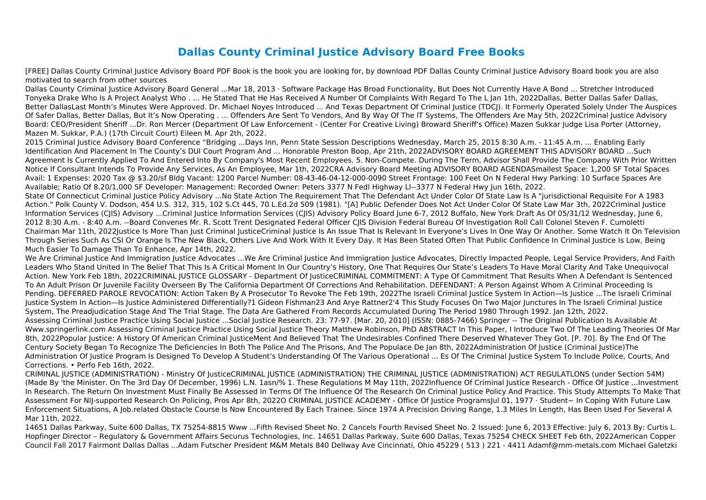## **Dallas County Criminal Justice Advisory Board Free Books**

[FREE] Dallas County Criminal Justice Advisory Board PDF Book is the book you are looking for, by download PDF Dallas County Criminal Justice Advisory Board book you are also motivated to search from other sources

Dallas County Criminal Justice Advisory Board General ...Mar 18, 2013 · Software Package Has Broad Functionality, But Does Not Currently Have A Bond ... Stretcher Introduced Tonyeka Drake Who Is A Project Analyst Who . ... He Stated That He Has Received A Number Of Complaints With Regard To The L Jan 1th, 2022Dallas, Better Dallas Safer Dallas, Better DallasLast Month's Minutes Were Approved. Dr. Michael Noyes Introduced ... And Texas Department Of Criminal Justice (TDCJ). It Formerly Operated Solely Under The Auspices Of Safer Dallas, Better Dallas, But It's Now Operating . ... Offenders Are Sent To Vendors, And By Way Of The IT Systems, The Offenders Are May 5th, 2022Criminal Justice Advisory Board: CEO/President Sheriff ...Dr. Ron Mercer (Department Of Law Enforcement - (Center For Creative Living) Broward Sheriff's Office) Mazen Sukkar Judge Lisa Porter (Attorney, Mazen M. Sukkar, P.A.) (17th Circuit Court) Eileen M. Apr 2th, 2022.

2015 Criminal Justice Advisory Board Conference "Bridging ...Days Inn, Penn State Session Descriptions Wednesday, March 25, 2015 8:30 A.m. - 11:45 A.m. ... Enabling Early Identification And Placement In The County's DUI Court Program And ... Honorable Preston Boop, Apr 21th, 2022ADVISORY BOARD AGREEMENT THIS ADVISORY BOARD …Such Agreement Is Currently Applied To And Entered Into By Company's Most Recent Employees. 5. Non-Compete. During The Term, Advisor Shall Provide The Company With Prior Written Notice If Consultant Intends To Provide Any Services, As An Employee, Mar 1th, 2022CRA Advisory Board Meeting ADVISORY BOARD AGENDASmallest Space: 1,200 SF Total Spaces Avail: 1 Expenses: 2020 Tax @ \$3.20/sf Bldg Vacant: 1200 Parcel Number: 08-43-46-04-12-000-0090 Street Frontage: 100 Feet On N Federal Hwy Parking: 10 Surface Spaces Are Available; Ratio Of 8.20/1,000 SF Developer: Management: Recorded Owner: Peters 3377 N Fedl Highway Ll--3377 N Federal Hwy Jun 16th, 2022. State Of Connecticut Criminal Justice Policy Advisory ...No State Action The Requirement That The Defendant Act Under Color Of State Law Is A "jurisdictional Requisite For A 1983 Action." Polk County V. Dodson, 454 U.S. 312, 315, 102 S.Ct 445, 70 L.Ed.2d 509 (1981). "[A] Public Defender Does Not Act Under Color Of State Law Mar 3th, 2022Criminal Justice Information Services (CJIS) Advisory ...Criminal Justice Information Services (CJIS) Advisory Policy Board June 6-7, 2012 Buffalo, New York Draft As Of 05/31/12 Wednesday, June 6, 2012 8:30 A.m. - 8:40 A.m. --Board Convenes Mr. R. Scott Trent Designated Federal Officer CJIS Division Federal Bureau Of Investigation Roll Call Colonel Steven F. Cumoletti Chairman Mar 11th, 2022Justice Is More Than Just Criminal JusticeCriminal Justice Is An Issue That Is Relevant In Everyone's Lives In One Way Or Another. Some Watch It On Television Through Series Such As CSI Or Orange Is The New Black, Others Live And Work With It Every Day. It Has Been Stated Often That Public Confidence In Criminal Justice Is Low, Being Much Easier To Damage Than To Enhance, Apr 14th, 2022.

We Are Criminal Justice And Immigration Justice Advocates ...We Are Criminal Justice And Immigration Justice Advocates, Directly Impacted People, Legal Service Providers, And Faith Leaders Who Stand United In The Belief That This Is A Critical Moment In Our Country's History, One That Requires Our State's Leaders To Have Moral Clarity And Take Unequivocal Action. New York Feb 18th, 2022CRIMINAL JUSTICE GLOSSARY - Department Of JusticeCRIMINAL COMMITMENT: A Type Of Commitment That Results When A Defendant Is Sentenced To An Adult Prison Or Juvenile Facility Overseen By The California Department Of Corrections And Rehabilitation. DEFENDANT: A Person Against Whom A Criminal Proceeding Is Pending. DEFERRED PAROLE REVOCATION: Action Taken By A Prosecutor To Revoke The Feb 19th, 2022The Israeli Criminal Justice System In Action—Is Justice ...The Israeli Criminal Justice System In Action—Is Justice Administered Differentially?1 Gideon Fishman23 And Arye Rattner2'4 This Study Focuses On Two Major Junctures In The Israeli Criminal Justice System, The Preadjudication Stage And The Trial Stage. The Data Are Gathered From Records Accumulated During The Period 1980 Through 1992. Jan 12th, 2022. Assessing Criminal Justice Practice Using Social Justice ...Social Justice Research. 23: 77-97. [Mar. 20, 2010] (ISSN: 0885-7466) Springer -- The Original Publication Is Available At Www.springerlink.com Assessing Criminal Justice Practice Using Social Justice Theory Matthew Robinson, PhD ABSTRACT In This Paper, I Introduce Two Of The Leading Theories Of Mar 8th, 2022Popular Justice: A History Of American Criminal JusticeMent And Believed That The Undesirables Confined There Deserved Whatever They Got. [P. 70]. By The End Of The Century Society Began To Recognize The Deficiencies In Both The Police And The Prisons, And The Populace De Jan 8th, 2022Administration Of Justice (Criminal Justice)The Administration Of Justice Program Is Designed To Develop A Student's Understanding Of The Various Operational ... Es Of The Criminal Justice System To Include Police, Courts, And Corrections. • Perfo Feb 16th, 2022.

CRIMINAL JUSTICE (ADMINISTRATION) - Ministry Of JusticeCRIMINAL JUSTICE (ADMINISTRATION) THE CRIMINAL JUSTICE (ADMINISTRATION) ACT REGULATLONS (under Section 54M) (Made By 'the Minister. On The 3rd Day Of December, 1996) L.N. 1asn/% 1. These Regulations M May 11th, 2022Influence Of Criminal Justice Research - Office Of Justice ...Investment In Research. The Return On Investment Must Finally Be Assessed In Terms Of The Influence Of The Research On Criminal Justice Policy And Practice. This Study Attempts To Make That Assessment For NII-supported Research On Policing, Pros Apr 8th, 2022O CRIMINAL IUSTICE ACADEMY - Office Of Justice ProgramsJul 01, 1977 · Student~ In Coping With Future Law Enforcement Situations, A Job.related Obstacle Course Is Now Encountered By Each Trainee. Since 1974 A Precision Driving Range, 1.3 Miles In Length, Has Been Used For Several A Mar 11th, 2022.

14651 Dallas Parkway, Suite 600 Dallas, TX 75254-8815 Www ...Fifth Revised Sheet No. 2 Cancels Fourth Revised Sheet No. 2 Issued: June 6, 2013 Effective: July 6, 2013 By: Curtis L. Hopfinger Director – Regulatory & Government Affairs Securus Technologies, Inc. 14651 Dallas Parkway, Suite 600 Dallas, Texas 75254 CHECK SHEET Feb 6th, 2022American Copper Council Fall 2017 Fairmont Dallas Dallas ...Adam Futscher President M&M Metals 840 Dellway Ave Cincinnati, Ohio 45229 ( 513 ) 221 - 4411 Adamf@mm-metals.com Michael Galetzki